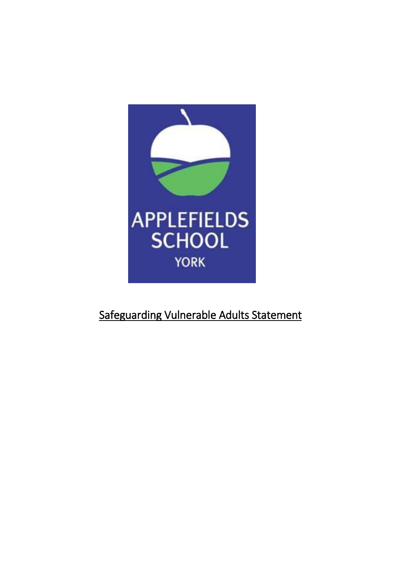

# Safeguarding Vulnerable Adults Statement